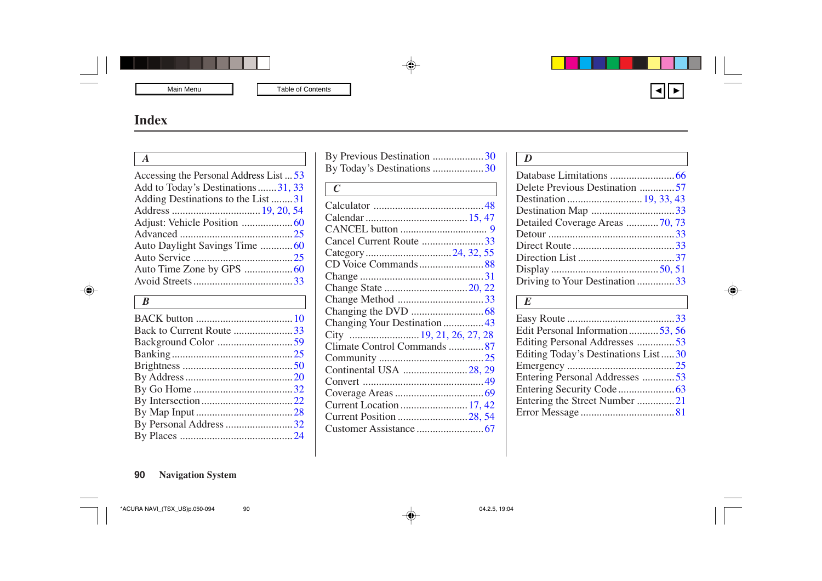### <span id="page-0-0"></span>**Index**

**r** т.

| $\mathsf{A}$                            |    |
|-----------------------------------------|----|
| Accessing the Personal Address List  53 |    |
| Add to Today's Destinations31, 33       |    |
| Adding Destinations to the List 31      |    |
|                                         |    |
|                                         |    |
|                                         |    |
|                                         |    |
|                                         |    |
|                                         |    |
|                                         |    |
| $\mid B$                                |    |
|                                         |    |
| Back to Current Route 33                |    |
| $Doglz$ and $Colar$                     | 50 |

| Back to Current Route 33 |  |
|--------------------------|--|
|                          |  |
|                          |  |
|                          |  |
|                          |  |
|                          |  |
|                          |  |
|                          |  |
| By Personal Address 32   |  |
|                          |  |
|                          |  |

| By Previous Destination 30    |  |
|-------------------------------|--|
| By Today's Destinations 30    |  |
| $\mid C$                      |  |
|                               |  |
|                               |  |
|                               |  |
| Cancel Current Route 33       |  |
|                               |  |
|                               |  |
|                               |  |
|                               |  |
| Change Method 33              |  |
|                               |  |
| Changing Your Destination  43 |  |
|                               |  |
| Climate Control Commands 87   |  |
|                               |  |
| Continental USA 28, 29        |  |
|                               |  |
|                               |  |
|                               |  |
| Current Position 28, 54       |  |
|                               |  |
|                               |  |

| I<br>٧ |
|--------|

| Delete Previous Destination 57 |  |
|--------------------------------|--|
|                                |  |
| Destination Map 33             |  |
| Detailed Coverage Areas 70, 73 |  |
|                                |  |
|                                |  |
|                                |  |
|                                |  |
| Driving to Your Destination 33 |  |
|                                |  |

#### *E*

| Edit Personal Information53, 56     |  |
|-------------------------------------|--|
| Editing Personal Addresses 53       |  |
| Editing Today's Destinations List30 |  |
|                                     |  |
| Entering Personal Addresses 53      |  |
|                                     |  |
| Entering the Street Number 21       |  |
|                                     |  |
|                                     |  |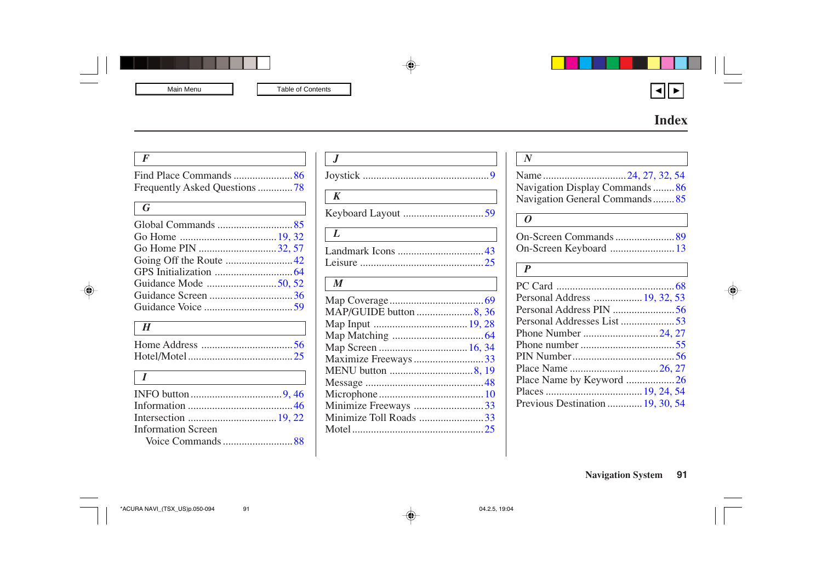## **Index**

<span id="page-1-0"></span>

| $\overline{F}$                |
|-------------------------------|
|                               |
| Frequently Asked Questions 78 |
|                               |
| $\bm{G}$                      |
|                               |
|                               |
| Go Home PIN 32, 57            |
|                               |
|                               |
|                               |
| Guidance Screen 36            |
|                               |
| H                             |
|                               |
|                               |
|                               |
| $\bar{I}$                     |
|                               |
|                               |
|                               |
| <b>Information Screen</b>     |
|                               |

| $\boldsymbol{K}$       |  |
|------------------------|--|
|                        |  |
| $\bm{L}$               |  |
|                        |  |
|                        |  |
| $\boldsymbol{M}$       |  |
|                        |  |
| MAP/GUIDE button 8, 36 |  |
|                        |  |
|                        |  |
|                        |  |
| Maximize Freeways 33   |  |
|                        |  |
|                        |  |
|                        |  |
| Minimize Freeways 33   |  |
| Minimize Toll Roads 33 |  |
|                        |  |
|                        |  |

| Navigation Display Commands86  |
|--------------------------------|
| Navigation General Commands 85 |
| ( )                            |
|                                |
| On-Screen Keyboard  13         |
| $\boldsymbol{P}$               |
|                                |
| Personal Address  19, 32, 53   |
| Personal Address PIN 56        |
| Personal Addresses List 53     |
|                                |
|                                |
|                                |
|                                |
| Place Name by Keyword 26       |
|                                |
|                                |